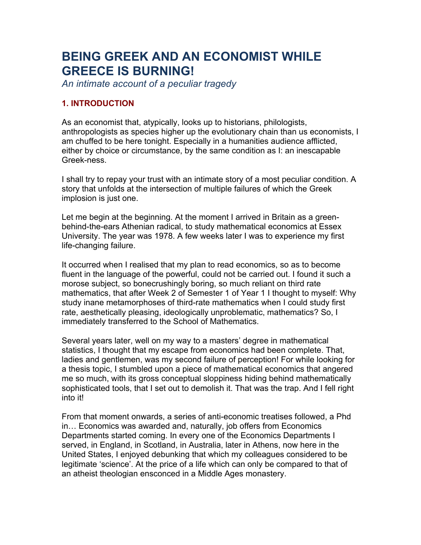# **BEING GREEK AND AN ECONOMIST WHILE GREECE IS BURNING!**

*An intimate account of a peculiar tragedy*

## **1. INTRODUCTION**

As an economist that, atypically, looks up to historians, philologists, anthropologists as species higher up the evolutionary chain than us economists, I am chuffed to be here tonight. Especially in a humanities audience afflicted, either by choice or circumstance, by the same condition as I: an inescapable Greek-ness.

I shall try to repay your trust with an intimate story of a most peculiar condition. A story that unfolds at the intersection of multiple failures of which the Greek implosion is just one.

Let me begin at the beginning. At the moment I arrived in Britain as a greenbehind-the-ears Athenian radical, to study mathematical economics at Essex University. The year was 1978. A few weeks later I was to experience my first life-changing failure.

It occurred when I realised that my plan to read economics, so as to become fluent in the language of the powerful, could not be carried out. I found it such a morose subject, so bonecrushingly boring, so much reliant on third rate mathematics, that after Week 2 of Semester 1 of Year 1 I thought to myself: Why study inane metamorphoses of third-rate mathematics when I could study first rate, aesthetically pleasing, ideologically unproblematic, mathematics? So, I immediately transferred to the School of Mathematics.

Several years later, well on my way to a masters' degree in mathematical statistics, I thought that my escape from economics had been complete. That, ladies and gentlemen, was my second failure of perception! For while looking for a thesis topic, I stumbled upon a piece of mathematical economics that angered me so much, with its gross conceptual sloppiness hiding behind mathematically sophisticated tools, that I set out to demolish it. That was the trap. And I fell right into it!

From that moment onwards, a series of anti-economic treatises followed, a Phd in… Economics was awarded and, naturally, job offers from Economics Departments started coming. In every one of the Economics Departments I served, in England, in Scotland, in Australia, later in Athens, now here in the United States, I enjoyed debunking that which my colleagues considered to be legitimate 'science'. At the price of a life which can only be compared to that of an atheist theologian ensconced in a Middle Ages monastery.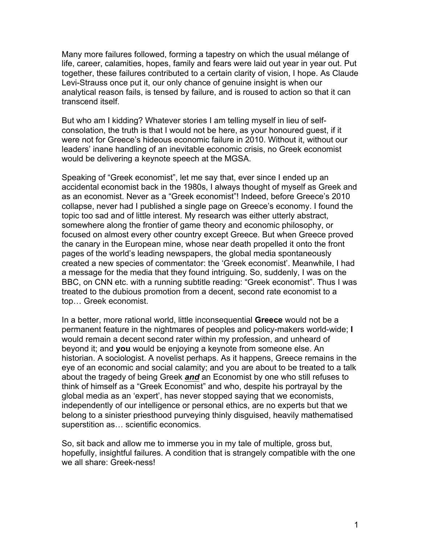Many more failures followed, forming a tapestry on which the usual mélange of life, career, calamities, hopes, family and fears were laid out year in year out. Put together, these failures contributed to a certain clarity of vision, I hope. As Claude Levi-Strauss once put it, our only chance of genuine insight is when our analytical reason fails, is tensed by failure, and is roused to action so that it can transcend itself.

But who am I kidding? Whatever stories I am telling myself in lieu of selfconsolation, the truth is that I would not be here, as your honoured guest, if it were not for Greece's hideous economic failure in 2010. Without it, without our leaders' inane handling of an inevitable economic crisis, no Greek economist would be delivering a keynote speech at the MGSA.

Speaking of "Greek economist", let me say that, ever since I ended up an accidental economist back in the 1980s, I always thought of myself as Greek and as an economist. Never as a "Greek economist"! Indeed, before Greece's 2010 collapse, never had I published a single page on Greece's economy. I found the topic too sad and of little interest. My research was either utterly abstract, somewhere along the frontier of game theory and economic philosophy, or focused on almost every other country except Greece. But when Greece proved the canary in the European mine, whose near death propelled it onto the front pages of the world's leading newspapers, the global media spontaneously created a new species of commentator: the 'Greek economist'. Meanwhile, I had a message for the media that they found intriguing. So, suddenly, I was on the BBC, on CNN etc. with a running subtitle reading: "Greek economist". Thus I was treated to the dubious promotion from a decent, second rate economist to a top… Greek economist.

In a better, more rational world, little inconsequential **Greece** would not be a permanent feature in the nightmares of peoples and policy-makers world-wide; **I**  would remain a decent second rater within my profession, and unheard of beyond it; and **you** would be enjoying a keynote from someone else. An historian. A sociologist. A novelist perhaps. As it happens, Greece remains in the eye of an economic and social calamity; and you are about to be treated to a talk about the tragedy of being Greek *and* an Economist by one who still refuses to think of himself as a "Greek Economist" and who, despite his portrayal by the global media as an 'expert', has never stopped saying that we economists, independently of our intelligence or personal ethics, are no experts but that we belong to a sinister priesthood purveying thinly disguised, heavily mathematised superstition as… scientific economics.

So, sit back and allow me to immerse you in my tale of multiple, gross but, hopefully, insightful failures. A condition that is strangely compatible with the one we all share: Greek-ness!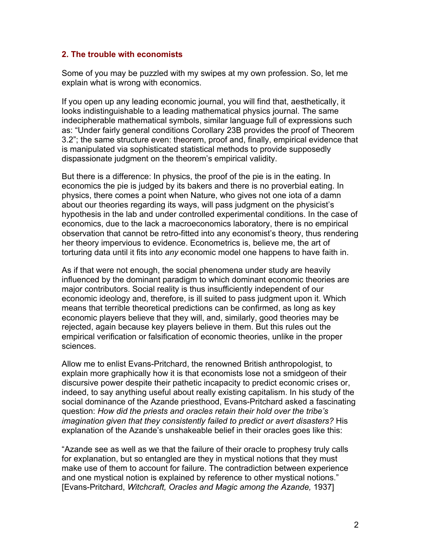#### **2. The trouble with economists**

Some of you may be puzzled with my swipes at my own profession. So, let me explain what is wrong with economics.

If you open up any leading economic journal, you will find that, aesthetically, it looks indistinguishable to a leading mathematical physics journal. The same indecipherable mathematical symbols, similar language full of expressions such as: "Under fairly general conditions Corollary 23B provides the proof of Theorem 3.2"; the same structure even: theorem, proof and, finally, empirical evidence that is manipulated via sophisticated statistical methods to provide supposedly dispassionate judgment on the theorem's empirical validity.

But there is a difference: In physics, the proof of the pie is in the eating. In economics the pie is judged by its bakers and there is no proverbial eating. In physics, there comes a point when Nature, who gives not one iota of a damn about our theories regarding its ways, will pass judgment on the physicist's hypothesis in the lab and under controlled experimental conditions. In the case of economics, due to the lack a macroeconomics laboratory, there is no empirical observation that cannot be retro-fitted into any economist's theory, thus rendering her theory impervious to evidence. Econometrics is, believe me, the art of torturing data until it fits into *any* economic model one happens to have faith in.

As if that were not enough, the social phenomena under study are heavily influenced by the dominant paradigm to which dominant economic theories are major contributors. Social reality is thus insufficiently independent of our economic ideology and, therefore, is ill suited to pass judgment upon it. Which means that terrible theoretical predictions can be confirmed, as long as key economic players believe that they will, and, similarly, good theories may be rejected, again because key players believe in them. But this rules out the empirical verification or falsification of economic theories, unlike in the proper sciences.

Allow me to enlist Evans-Pritchard, the renowned British anthropologist, to explain more graphically how it is that economists lose not a smidgeon of their discursive power despite their pathetic incapacity to predict economic crises or, indeed, to say anything useful about really existing capitalism. In his study of the social dominance of the Azande priesthood, Evans-Pritchard asked a fascinating question: *How did the priests and oracles retain their hold over the tribe's imagination given that they consistently failed to predict or avert disasters?* His explanation of the Azande's unshakeable belief in their oracles goes like this:

"Azande see as well as we that the failure of their oracle to prophesy truly calls for explanation, but so entangled are they in mystical notions that they must make use of them to account for failure. The contradiction between experience and one mystical notion is explained by reference to other mystical notions." [Evans-Pritchard, *Witchcraft, Oracles and Magic among the Azande,* 1937]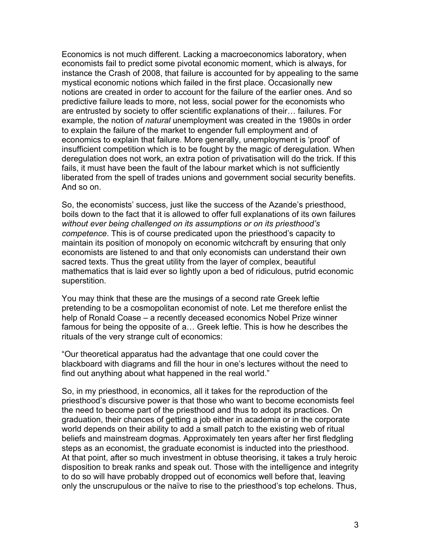Economics is not much different. Lacking a macroeconomics laboratory, when economists fail to predict some pivotal economic moment, which is always, for instance the Crash of 2008, that failure is accounted for by appealing to the same mystical economic notions which failed in the first place. Occasionally new notions are created in order to account for the failure of the earlier ones. And so predictive failure leads to more, not less, social power for the economists who are entrusted by society to offer scientific explanations of their… failures. For example, the notion of *natural* unemployment was created in the 1980s in order to explain the failure of the market to engender full employment and of economics to explain that failure. More generally, unemployment is 'proof' of insufficient competition which is to be fought by the magic of deregulation. When deregulation does not work, an extra potion of privatisation will do the trick. If this fails, it must have been the fault of the labour market which is not sufficiently liberated from the spell of trades unions and government social security benefits. And so on.

So, the economists' success, just like the success of the Azande's priesthood, boils down to the fact that it is allowed to offer full explanations of its own failures *without ever being challenged on its assumptions or on its priesthood's competence*. This is of course predicated upon the priesthood's capacity to maintain its position of monopoly on economic witchcraft by ensuring that only economists are listened to and that only economists can understand their own sacred texts. Thus the great utility from the layer of complex, beautiful mathematics that is laid ever so lightly upon a bed of ridiculous, putrid economic superstition.

You may think that these are the musings of a second rate Greek leftie pretending to be a cosmopolitan economist of note. Let me therefore enlist the help of Ronald Coase – a recently deceased economics Nobel Prize winner famous for being the opposite of a… Greek leftie. This is how he describes the rituals of the very strange cult of economics:

"Our theoretical apparatus had the advantage that one could cover the blackboard with diagrams and fill the hour in one's lectures without the need to find out anything about what happened in the real world."

So, in my priesthood, in economics, all it takes for the reproduction of the priesthood's discursive power is that those who want to become economists feel the need to become part of the priesthood and thus to adopt its practices. On graduation, their chances of getting a job either in academia or in the corporate world depends on their ability to add a small patch to the existing web of ritual beliefs and mainstream dogmas. Approximately ten years after her first fledgling steps as an economist, the graduate economist is inducted into the priesthood. At that point, after so much investment in obtuse theorising, it takes a truly heroic disposition to break ranks and speak out. Those with the intelligence and integrity to do so will have probably dropped out of economics well before that, leaving only the unscrupulous or the naïve to rise to the priesthood's top echelons. Thus,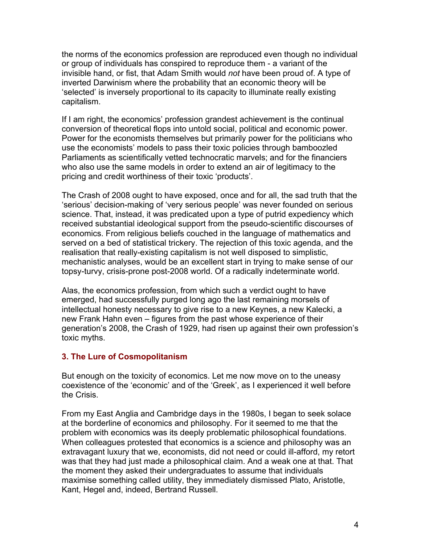the norms of the economics profession are reproduced even though no individual or group of individuals has conspired to reproduce them - a variant of the invisible hand, or fist, that Adam Smith would *not* have been proud of. A type of inverted Darwinism where the probability that an economic theory will be 'selected' is inversely proportional to its capacity to illuminate really existing capitalism.

If I am right, the economics' profession grandest achievement is the continual conversion of theoretical flops into untold social, political and economic power. Power for the economists themselves but primarily power for the politicians who use the economists' models to pass their toxic policies through bamboozled Parliaments as scientifically vetted technocratic marvels; and for the financiers who also use the same models in order to extend an air of legitimacy to the pricing and credit worthiness of their toxic 'products'.

The Crash of 2008 ought to have exposed, once and for all, the sad truth that the 'serious' decision-making of 'very serious people' was never founded on serious science. That, instead, it was predicated upon a type of putrid expediency which received substantial ideological support from the pseudo-scientific discourses of economics. From religious beliefs couched in the language of mathematics and served on a bed of statistical trickery. The rejection of this toxic agenda, and the realisation that really-existing capitalism is not well disposed to simplistic, mechanistic analyses, would be an excellent start in trying to make sense of our topsy-turvy, crisis-prone post-2008 world. Of a radically indeterminate world.

Alas, the economics profession, from which such a verdict ought to have emerged, had successfully purged long ago the last remaining morsels of intellectual honesty necessary to give rise to a new Keynes, a new Kalecki, a new Frank Hahn even – figures from the past whose experience of their generation's 2008, the Crash of 1929, had risen up against their own profession's toxic myths.

## **3. The Lure of Cosmopolitanism**

But enough on the toxicity of economics. Let me now move on to the uneasy coexistence of the 'economic' and of the 'Greek', as I experienced it well before the Crisis.

From my East Anglia and Cambridge days in the 1980s, I began to seek solace at the borderline of economics and philosophy. For it seemed to me that the problem with economics was its deeply problematic philosophical foundations. When colleagues protested that economics is a science and philosophy was an extravagant luxury that we, economists, did not need or could ill-afford, my retort was that they had just made a philosophical claim. And a weak one at that. That the moment they asked their undergraduates to assume that individuals maximise something called utility, they immediately dismissed Plato, Aristotle, Kant, Hegel and, indeed, Bertrand Russell.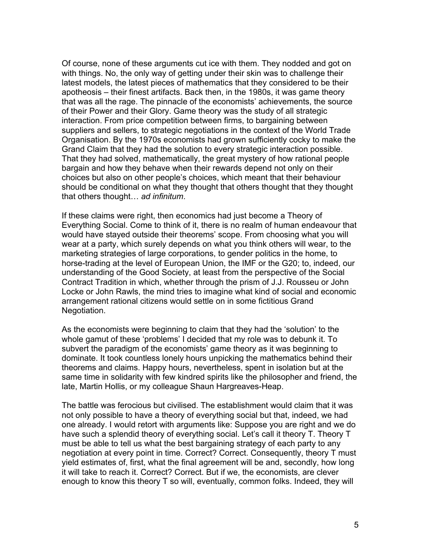Of course, none of these arguments cut ice with them. They nodded and got on with things. No, the only way of getting under their skin was to challenge their latest models, the latest pieces of mathematics that they considered to be their apotheosis – their finest artifacts. Back then, in the 1980s, it was game theory that was all the rage. The pinnacle of the economists' achievements, the source of their Power and their Glory. Game theory was the study of all strategic interaction. From price competition between firms, to bargaining between suppliers and sellers, to strategic negotiations in the context of the World Trade Organisation. By the 1970s economists had grown sufficiently cocky to make the Grand Claim that they had the solution to every strategic interaction possible. That they had solved, mathematically, the great mystery of how rational people bargain and how they behave when their rewards depend not only on their choices but also on other people's choices, which meant that their behaviour should be conditional on what they thought that others thought that they thought that others thought… *ad infinitum*.

If these claims were right, then economics had just become a Theory of Everything Social. Come to think of it, there is no realm of human endeavour that would have stayed outside their theorems' scope. From choosing what you will wear at a party, which surely depends on what you think others will wear, to the marketing strategies of large corporations, to gender politics in the home, to horse-trading at the level of European Union, the IMF or the G20; to, indeed, our understanding of the Good Society, at least from the perspective of the Social Contract Tradition in which, whether through the prism of J.J. Rousseu or John Locke or John Rawls, the mind tries to imagine what kind of social and economic arrangement rational citizens would settle on in some fictitious Grand Negotiation.

As the economists were beginning to claim that they had the 'solution' to the whole gamut of these 'problems' I decided that my role was to debunk it. To subvert the paradigm of the economists' game theory as it was beginning to dominate. It took countless lonely hours unpicking the mathematics behind their theorems and claims. Happy hours, nevertheless, spent in isolation but at the same time in solidarity with few kindred spirits like the philosopher and friend, the late, Martin Hollis, or my colleague Shaun Hargreaves-Heap.

The battle was ferocious but civilised. The establishment would claim that it was not only possible to have a theory of everything social but that, indeed, we had one already. I would retort with arguments like: Suppose you are right and we do have such a splendid theory of everything social. Let's call it theory T. Theory T must be able to tell us what the best bargaining strategy of each party to any negotiation at every point in time. Correct? Correct. Consequently, theory T must yield estimates of, first, what the final agreement will be and, secondly, how long it will take to reach it. Correct? Correct. But if we, the economists, are clever enough to know this theory T so will, eventually, common folks. Indeed, they will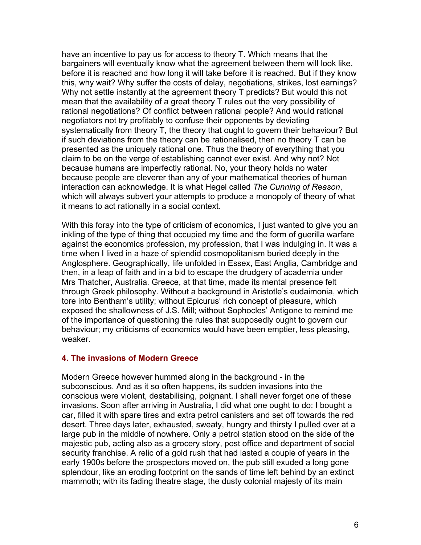have an incentive to pay us for access to theory T. Which means that the bargainers will eventually know what the agreement between them will look like, before it is reached and how long it will take before it is reached. But if they know this, why wait? Why suffer the costs of delay, negotiations, strikes, lost earnings? Why not settle instantly at the agreement theory T predicts? But would this not mean that the availability of a great theory T rules out the very possibility of rational negotiations? Of conflict between rational people? And would rational negotiators not try profitably to confuse their opponents by deviating systematically from theory T, the theory that ought to govern their behaviour? But if such deviations from the theory can be rationalised, then no theory T can be presented as the uniquely rational one. Thus the theory of everything that you claim to be on the verge of establishing cannot ever exist. And why not? Not because humans are imperfectly rational. No, your theory holds no water because people are cleverer than any of your mathematical theories of human interaction can acknowledge. It is what Hegel called *The Cunning of Reason*, which will always subvert your attempts to produce a monopoly of theory of what it means to act rationally in a social context.

With this foray into the type of criticism of economics, I just wanted to give you an inkling of the type of thing that occupied my time and the form of guerilla warfare against the economics profession, my profession, that I was indulging in. It was a time when I lived in a haze of splendid cosmopolitanism buried deeply in the Anglosphere. Geographically, life unfolded in Essex, East Anglia, Cambridge and then, in a leap of faith and in a bid to escape the drudgery of academia under Mrs Thatcher, Australia. Greece, at that time, made its mental presence felt through Greek philosophy. Without a background in Aristotle's eudaimonia, which tore into Bentham's utility; without Epicurus' rich concept of pleasure, which exposed the shallowness of J.S. Mill; without Sophocles' Antigone to remind me of the importance of questioning the rules that supposedly ought to govern our behaviour; my criticisms of economics would have been emptier, less pleasing, weaker.

#### **4. The invasions of Modern Greece**

Modern Greece however hummed along in the background - in the subconscious. And as it so often happens, its sudden invasions into the conscious were violent, destabilising, poignant. I shall never forget one of these invasions. Soon after arriving in Australia, I did what one ought to do: I bought a car, filled it with spare tires and extra petrol canisters and set off towards the red desert. Three days later, exhausted, sweaty, hungry and thirsty I pulled over at a large pub in the middle of nowhere. Only a petrol station stood on the side of the majestic pub, acting also as a grocery story, post office and department of social security franchise. A relic of a gold rush that had lasted a couple of years in the early 1900s before the prospectors moved on, the pub still exuded a long gone splendour, like an eroding footprint on the sands of time left behind by an extinct mammoth; with its fading theatre stage, the dusty colonial majesty of its main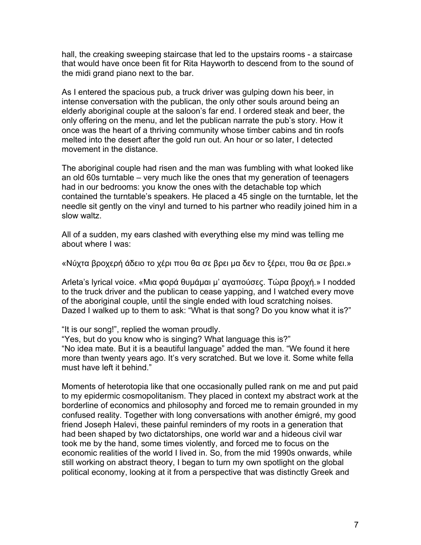hall, the creaking sweeping staircase that led to the upstairs rooms - a staircase that would have once been fit for Rita Hayworth to descend from to the sound of the midi grand piano next to the bar.

As I entered the spacious pub, a truck driver was gulping down his beer, in intense conversation with the publican, the only other souls around being an elderly aboriginal couple at the saloon's far end. I ordered steak and beer, the only offering on the menu, and let the publican narrate the pub's story. How it once was the heart of a thriving community whose timber cabins and tin roofs melted into the desert after the gold run out. An hour or so later, I detected movement in the distance.

The aboriginal couple had risen and the man was fumbling with what looked like an old 60s turntable – very much like the ones that my generation of teenagers had in our bedrooms: you know the ones with the detachable top which contained the turntable's speakers. He placed a 45 single on the turntable, let the needle sit gently on the vinyl and turned to his partner who readily joined him in a slow waltz.

All of a sudden, my ears clashed with everything else my mind was telling me about where I was:

«Νύχτα βροχερή άδειο το χέρι που θα σε βρει µα δεν το ξέρει, που θα σε βρει.»

Arleta's lyrical voice. «Μια φορά θυµάµαι µ' αγαπούσες. Τώρα βροχή.» I nodded to the truck driver and the publican to cease yapping, and I watched every move of the aboriginal couple, until the single ended with loud scratching noises. Dazed I walked up to them to ask: "What is that song? Do you know what it is?"

"It is our song!", replied the woman proudly.

"Yes, but do you know who is singing? What language this is?" "No idea mate. But it is a beautiful language" added the man. "We found it here more than twenty years ago. It's very scratched. But we love it. Some white fella must have left it behind."

Moments of heterotopia like that one occasionally pulled rank on me and put paid to my epidermic cosmopolitanism. They placed in context my abstract work at the borderline of economics and philosophy and forced me to remain grounded in my confused reality. Together with long conversations with another émigré, my good friend Joseph Halevi, these painful reminders of my roots in a generation that had been shaped by two dictatorships, one world war and a hideous civil war took me by the hand, some times violently, and forced me to focus on the economic realities of the world I lived in. So, from the mid 1990s onwards, while still working on abstract theory, I began to turn my own spotlight on the global political economy, looking at it from a perspective that was distinctly Greek and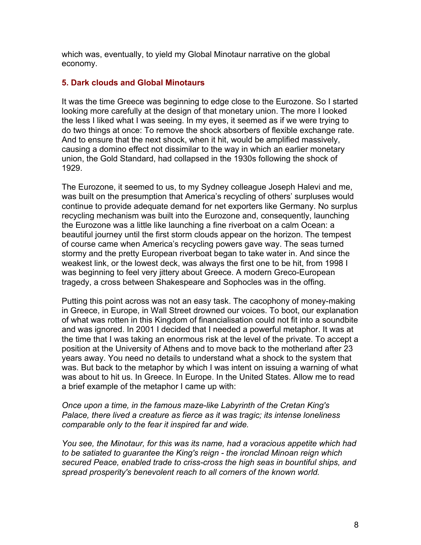which was, eventually, to yield my Global Minotaur narrative on the global economy.

#### **5. Dark clouds and Global Minotaurs**

It was the time Greece was beginning to edge close to the Eurozone. So I started looking more carefully at the design of that monetary union. The more I looked the less I liked what I was seeing. In my eyes, it seemed as if we were trying to do two things at once: To remove the shock absorbers of flexible exchange rate. And to ensure that the next shock, when it hit, would be amplified massively, causing a domino effect not dissimilar to the way in which an earlier monetary union, the Gold Standard, had collapsed in the 1930s following the shock of 1929.

The Eurozone, it seemed to us, to my Sydney colleague Joseph Halevi and me, was built on the presumption that America's recycling of others' surpluses would continue to provide adequate demand for net exporters like Germany. No surplus recycling mechanism was built into the Eurozone and, consequently, launching the Eurozone was a little like launching a fine riverboat on a calm Ocean: a beautiful journey until the first storm clouds appear on the horizon. The tempest of course came when America's recycling powers gave way. The seas turned stormy and the pretty European riverboat began to take water in. And since the weakest link, or the lowest deck, was always the first one to be hit, from 1998 I was beginning to feel very jittery about Greece. A modern Greco-European tragedy, a cross between Shakespeare and Sophocles was in the offing.

Putting this point across was not an easy task. The cacophony of money-making in Greece, in Europe, in Wall Street drowned our voices. To boot, our explanation of what was rotten in this Kingdom of financialisation could not fit into a soundbite and was ignored. In 2001 I decided that I needed a powerful metaphor. It was at the time that I was taking an enormous risk at the level of the private. To accept a position at the University of Athens and to move back to the motherland after 23 years away. You need no details to understand what a shock to the system that was. But back to the metaphor by which I was intent on issuing a warning of what was about to hit us. In Greece. In Europe. In the United States. Allow me to read a brief example of the metaphor I came up with:

*Once upon a time, in the famous maze-like Labyrinth of the Cretan King's Palace, there lived a creature as fierce as it was tragic; its intense loneliness comparable only to the fear it inspired far and wide.*

*You see, the Minotaur, for this was its name, had a voracious appetite which had to be satiated to guarantee the King's reign - the ironclad Minoan reign which secured Peace, enabled trade to criss-cross the high seas in bountiful ships, and spread prosperity's benevolent reach to all corners of the known world.*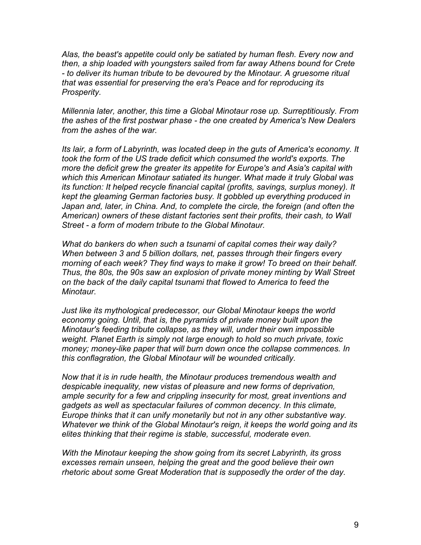*Alas, the beast's appetite could only be satiated by human flesh. Every now and then, a ship loaded with youngsters sailed from far away Athens bound for Crete - to deliver its human tribute to be devoured by the Minotaur. A gruesome ritual that was essential for preserving the era's Peace and for reproducing its Prosperity.*

*Millennia later, another, this time a Global Minotaur rose up. Surreptitiously. From the ashes of the first postwar phase - the one created by America's New Dealers from the ashes of the war.* 

*Its lair, a form of Labyrinth, was located deep in the guts of America's economy. It took the form of the US trade deficit which consumed the world's exports. The more the deficit grew the greater its appetite for Europe's and Asia's capital with which this American Minotaur satiated its hunger. What made it truly Global was its function: It helped recycle financial capital (profits, savings, surplus money). It kept the gleaming German factories busy. It gobbled up everything produced in*  Japan and, later, in China. And, to complete the circle, the foreign (and often the *American) owners of these distant factories sent their profits, their cash, to Wall Street - a form of modern tribute to the Global Minotaur.* 

*What do bankers do when such a tsunami of capital comes their way daily? When between 3 and 5 billion dollars, net, passes through their fingers every morning of each week? They find ways to make it grow! To breed on their behalf. Thus, the 80s, the 90s saw an explosion of private money minting by Wall Street on the back of the daily capital tsunami that flowed to America to feed the Minotaur.*

*Just like its mythological predecessor, our Global Minotaur keeps the world economy going. Until, that is, the pyramids of private money built upon the Minotaur's feeding tribute collapse, as they will, under their own impossible weight. Planet Earth is simply not large enough to hold so much private, toxic money; money-like paper that will burn down once the collapse commences. In this conflagration, the Global Minotaur will be wounded critically.*

*Now that it is in rude health, the Minotaur produces tremendous wealth and despicable inequality, new vistas of pleasure and new forms of deprivation, ample security for a few and crippling insecurity for most, great inventions and gadgets as well as spectacular failures of common decency. In this climate, Europe thinks that it can unify monetarily but not in any other substantive way. Whatever we think of the Global Minotaur's reign, it keeps the world going and its elites thinking that their regime is stable, successful, moderate even.* 

*With the Minotaur keeping the show going from its secret Labyrinth, its gross excesses remain unseen, helping the great and the good believe their own rhetoric about some Great Moderation that is supposedly the order of the day.*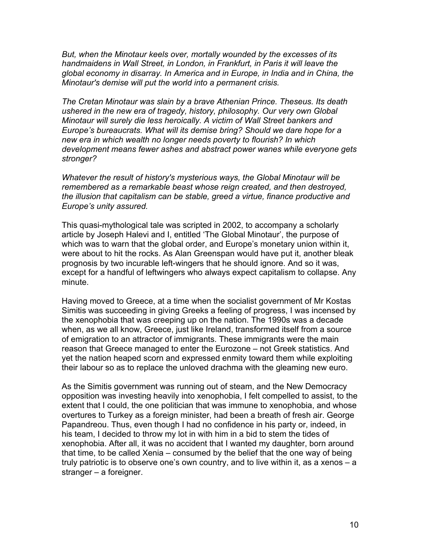*But, when the Minotaur keels over, mortally wounded by the excesses of its handmaidens in Wall Street, in London, in Frankfurt, in Paris it will leave the global economy in disarray. In America and in Europe, in India and in China, the Minotaur's demise will put the world into a permanent crisis.* 

*The Cretan Minotaur was slain by a brave Athenian Prince. Theseus. Its death ushered in the new era of tragedy, history, philosophy. Our very own Global Minotaur will surely die less heroically. A victim of Wall Street bankers and Europe's bureaucrats. What will its demise bring? Should we dare hope for a new era in which wealth no longer needs poverty to flourish? In which development means fewer ashes and abstract power wanes while everyone gets stronger?* 

*Whatever the result of history's mysterious ways, the Global Minotaur will be remembered as a remarkable beast whose reign created, and then destroyed, the illusion that capitalism can be stable, greed a virtue, finance productive and Europe's unity assured.*

This quasi-mythological tale was scripted in 2002, to accompany a scholarly article by Joseph Halevi and I, entitled 'The Global Minotaur', the purpose of which was to warn that the global order, and Europe's monetary union within it, were about to hit the rocks. As Alan Greenspan would have put it, another bleak prognosis by two incurable left-wingers that he should ignore. And so it was, except for a handful of leftwingers who always expect capitalism to collapse. Any minute.

Having moved to Greece, at a time when the socialist government of Mr Kostas Simitis was succeeding in giving Greeks a feeling of progress, I was incensed by the xenophobia that was creeping up on the nation. The 1990s was a decade when, as we all know, Greece, just like Ireland, transformed itself from a source of emigration to an attractor of immigrants. These immigrants were the main reason that Greece managed to enter the Eurozone – not Greek statistics. And yet the nation heaped scorn and expressed enmity toward them while exploiting their labour so as to replace the unloved drachma with the gleaming new euro.

As the Simitis government was running out of steam, and the New Democracy opposition was investing heavily into xenophobia, I felt compelled to assist, to the extent that I could, the one politician that was immune to xenophobia, and whose overtures to Turkey as a foreign minister, had been a breath of fresh air. George Papandreou. Thus, even though I had no confidence in his party or, indeed, in his team, I decided to throw my lot in with him in a bid to stem the tides of xenophobia. After all, it was no accident that I wanted my daughter, born around that time, to be called Xenia – consumed by the belief that the one way of being truly patriotic is to observe one's own country, and to live within it, as a xenos – a stranger – a foreigner.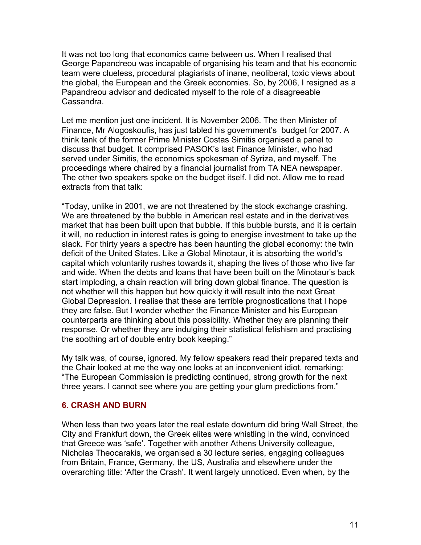It was not too long that economics came between us. When I realised that George Papandreou was incapable of organising his team and that his economic team were clueless, procedural plagiarists of inane, neoliberal, toxic views about the global, the European and the Greek economies. So, by 2006, I resigned as a Papandreou advisor and dedicated myself to the role of a disagreeable Cassandra.

Let me mention just one incident. It is November 2006. The then Minister of Finance, Mr Alogoskoufis, has just tabled his government's budget for 2007. A think tank of the former Prime Minister Costas Simitis organised a panel to discuss that budget. It comprised PASOK's last Finance Minister, who had served under Simitis, the economics spokesman of Syriza, and myself. The proceedings where chaired by a financial journalist from TA NEA newspaper. The other two speakers spoke on the budget itself. I did not. Allow me to read extracts from that talk:

"Today, unlike in 2001, we are not threatened by the stock exchange crashing. We are threatened by the bubble in American real estate and in the derivatives market that has been built upon that bubble. If this bubble bursts, and it is certain it will, no reduction in interest rates is going to energise investment to take up the slack. For thirty years a spectre has been haunting the global economy: the twin deficit of the United States. Like a Global Minotaur, it is absorbing the world's capital which voluntarily rushes towards it, shaping the lives of those who live far and wide. When the debts and loans that have been built on the Minotaur's back start imploding, a chain reaction will bring down global finance. The question is not whether will this happen but how quickly it will result into the next Great Global Depression. I realise that these are terrible prognostications that I hope they are false. But I wonder whether the Finance Minister and his European counterparts are thinking about this possibility. Whether they are planning their response. Or whether they are indulging their statistical fetishism and practising the soothing art of double entry book keeping."

My talk was, of course, ignored. My fellow speakers read their prepared texts and the Chair looked at me the way one looks at an inconvenient idiot, remarking: "The European Commission is predicting continued, strong growth for the next three years. I cannot see where you are getting your glum predictions from."

#### **6. CRASH AND BURN**

When less than two years later the real estate downturn did bring Wall Street, the City and Frankfurt down, the Greek elites were whistling in the wind, convinced that Greece was 'safe'. Together with another Athens University colleague, Nicholas Theocarakis, we organised a 30 lecture series, engaging colleagues from Britain, France, Germany, the US, Australia and elsewhere under the overarching title: 'After the Crash'. It went largely unnoticed. Even when, by the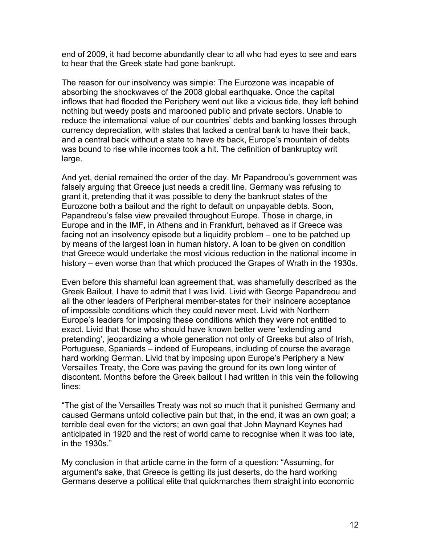end of 2009, it had become abundantly clear to all who had eyes to see and ears to hear that the Greek state had gone bankrupt.

The reason for our insolvency was simple: The Eurozone was incapable of absorbing the shockwaves of the 2008 global earthquake. Once the capital inflows that had flooded the Periphery went out like a vicious tide, they left behind nothing but weedy posts and marooned public and private sectors. Unable to reduce the international value of our countries' debts and banking losses through currency depreciation, with states that lacked a central bank to have their back, and a central back without a state to have *its* back, Europe's mountain of debts was bound to rise while incomes took a hit. The definition of bankruptcy writ large.

And yet, denial remained the order of the day. Mr Papandreou's government was falsely arguing that Greece just needs a credit line. Germany was refusing to grant it, pretending that it was possible to deny the bankrupt states of the Eurozone both a bailout and the right to default on unpayable debts. Soon, Papandreou's false view prevailed throughout Europe. Those in charge, in Europe and in the IMF, in Athens and in Frankfurt, behaved as if Greece was facing not an insolvency episode but a liquidity problem – one to be patched up by means of the largest loan in human history. A loan to be given on condition that Greece would undertake the most vicious reduction in the national income in history – even worse than that which produced the Grapes of Wrath in the 1930s.

Even before this shameful loan agreement that, was shamefully described as the Greek Bailout, I have to admit that I was livid. Livid with George Papandreou and all the other leaders of Peripheral member-states for their insincere acceptance of impossible conditions which they could never meet. Livid with Northern Europe's leaders for imposing these conditions which they were not entitled to exact. Livid that those who should have known better were 'extending and pretending', jeopardizing a whole generation not only of Greeks but also of Irish, Portuguese, Spaniards – indeed of Europeans, including of course the average hard working German. Livid that by imposing upon Europe's Periphery a New Versailles Treaty, the Core was paving the ground for its own long winter of discontent. Months before the Greek bailout I had written in this vein the following lines:

"The gist of the Versailles Treaty was not so much that it punished Germany and caused Germans untold collective pain but that, in the end, it was an own goal; a terrible deal even for the victors; an own goal that John Maynard Keynes had anticipated in 1920 and the rest of world came to recognise when it was too late, in the 1930s."

My conclusion in that article came in the form of a question: "Assuming, for argument's sake, that Greece is getting its just deserts, do the hard working Germans deserve a political elite that quickmarches them straight into economic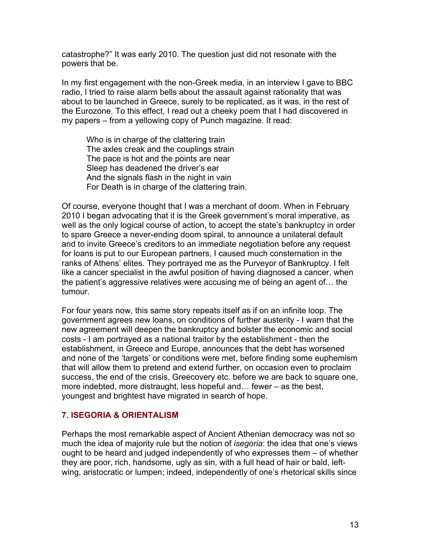catastrophe?" It was early 2010. The question just did not resonate with the powers that be.

In my first engagement with the non-Greek media, in an interview I gave to BBC radio, I tried to raise alarm bells about the assault against rationality that was about to be launched in Greece, surely to be replicated, as it was, in the rest of the Eurozone. To this effect, I read out a cheeky poem that I had discovered in my papers – from a yellowing copy of Punch magazine. It read:

Who is in charge of the clattering train The axles creak and the couplings strain The pace is hot and the points are near Sleep has deadened the driver's ear And the signals flash in the night in vain For Death is in charge of the clattering train.

Of course, everyone thought that I was a merchant of doom. When in February 2010 I began advocating that it is the Greek government's moral imperative, as well as the only logical course of action, to accept the state's bankruptcy in order to spare Greece a never-ending doom spiral, to announce a unilateral default and to invite Greece's creditors to an immediate negotiation before any request for loans is put to our European partners, I caused much consternation in the ranks of Athens' elites. They portrayed me as the Purveyor of Bankruptcy. I felt like a cancer specialist in the awful position of having diagnosed a cancer, when the patient's aggressive relatives were accusing me of being an agent of… the tumour.

For four years now, this same story repeats itself as if on an infinite loop. The government agrees new loans, on conditions of further austerity - I warn that the new agreement will deepen the bankruptcy and bolster the economic and social costs - I am portrayed as a national traitor by the establishment - then the establishment, in Greece and Europe, announces that the debt has worsened and none of the 'targets' or conditions were met, before finding some euphemism that will allow them to pretend and extend further, on occasion even to proclaim success, the end of the crisis, Greecovery etc. before we are back to square one, more indebted, more distraught, less hopeful and… fewer – as the best, youngest and brightest have migrated in search of hope.

#### **7. ISEGORIA & ORIENTALISM**

Perhaps the most remarkable aspect of Ancient Athenian democracy was not so much the idea of majority rule but the notion of *isegoria*: the idea that one's views ought to be heard and judged independently of who expresses them – of whether they are poor, rich, handsome, ugly as sin, with a full head of hair or bald, leftwing, aristocratic or lumpen; indeed, independently of one's rhetorical skills since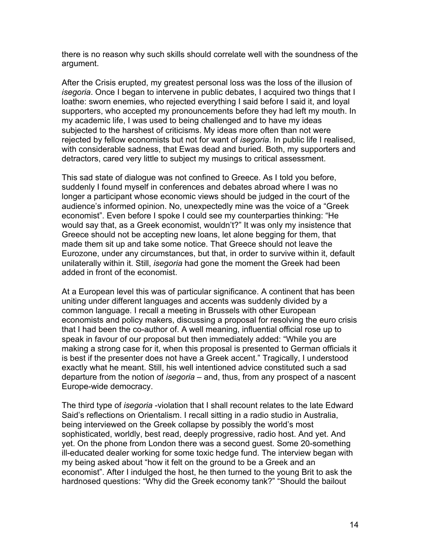there is no reason why such skills should correlate well with the soundness of the argument.

After the Crisis erupted, my greatest personal loss was the loss of the illusion of *isegoria*. Once I began to intervene in public debates, I acquired two things that I loathe: sworn enemies, who rejected everything I said before I said it, and loyal supporters, who accepted my pronouncements before they had left my mouth. In my academic life, I was used to being challenged and to have my ideas subjected to the harshest of criticisms. My ideas more often than not were rejected by fellow economists but not for want of *isegoria*. In public life I realised, with considerable sadness, that Ewas dead and buried. Both, my supporters and detractors, cared very little to subject my musings to critical assessment.

This sad state of dialogue was not confined to Greece. As I told you before, suddenly I found myself in conferences and debates abroad where I was no longer a participant whose economic views should be judged in the court of the audience's informed opinion. No, unexpectedly mine was the voice of a "Greek economist". Even before I spoke I could see my counterparties thinking: "He would say that, as a Greek economist, wouldn't?" It was only my insistence that Greece should not be accepting new loans, let alone begging for them, that made them sit up and take some notice. That Greece should not leave the Eurozone, under any circumstances, but that, in order to survive within it, default unilaterally within it. Still, *isegoria* had gone the moment the Greek had been added in front of the economist.

At a European level this was of particular significance. A continent that has been uniting under different languages and accents was suddenly divided by a common language. I recall a meeting in Brussels with other European economists and policy makers, discussing a proposal for resolving the euro crisis that I had been the co-author of. A well meaning, influential official rose up to speak in favour of our proposal but then immediately added: "While you are making a strong case for it, when this proposal is presented to German officials it is best if the presenter does not have a Greek accent." Tragically, I understood exactly what he meant. Still, his well intentioned advice constituted such a sad departure from the notion of *isegoria* – and, thus, from any prospect of a nascent Europe-wide democracy.

The third type of *isegoria* -violation that I shall recount relates to the late Edward Said's reflections on Orientalism. I recall sitting in a radio studio in Australia, being interviewed on the Greek collapse by possibly the world's most sophisticated, worldly, best read, deeply progressive, radio host. And yet. And yet. On the phone from London there was a second guest. Some 20-something ill-educated dealer working for some toxic hedge fund. The interview began with my being asked about "how it felt on the ground to be a Greek and an economist". After I indulged the host, he then turned to the young Brit to ask the hardnosed questions: "Why did the Greek economy tank?" "Should the bailout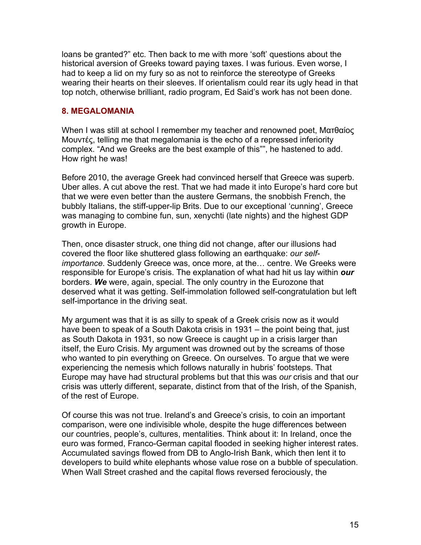loans be granted?" etc. Then back to me with more 'soft' questions about the historical aversion of Greeks toward paying taxes. I was furious. Even worse, I had to keep a lid on my fury so as not to reinforce the stereotype of Greeks wearing their hearts on their sleeves. If orientalism could rear its ugly head in that top notch, otherwise brilliant, radio program, Ed Said's work has not been done.

## **8. MEGALOMANIA**

When I was still at school I remember my teacher and renowned poet, Ματθαίος Μουντές, telling me that megalomania is the echo of a repressed inferiority complex. "And we Greeks are the best example of this"", he hastened to add. How right he was!

Before 2010, the average Greek had convinced herself that Greece was superb. Uber alles. A cut above the rest. That we had made it into Europe's hard core but that we were even better than the austere Germans, the snobbish French, the bubbly Italians, the stiff-upper-lip Brits. Due to our exceptional 'cunning', Greece was managing to combine fun, sun, xenychti (late nights) and the highest GDP growth in Europe.

Then, once disaster struck, one thing did not change, after our illusions had covered the floor like shuttered glass following an earthquake: *our selfimportance*. Suddenly Greece was, once more, at the… centre. We Greeks were responsible for Europe's crisis. The explanation of what had hit us lay within *our* borders. *We* were, again, special. The only country in the Eurozone that deserved what it was getting. Self-immolation followed self-congratulation but left self-importance in the driving seat.

My argument was that it is as silly to speak of a Greek crisis now as it would have been to speak of a South Dakota crisis in 1931 – the point being that, just as South Dakota in 1931, so now Greece is caught up in a crisis larger than itself, the Euro Crisis. My argument was drowned out by the screams of those who wanted to pin everything on Greece. On ourselves. To argue that we were experiencing the nemesis which follows naturally in hubris' footsteps. That Europe may have had structural problems but that this was *our* crisis and that our crisis was utterly different, separate, distinct from that of the Irish, of the Spanish, of the rest of Europe.

Of course this was not true. Ireland's and Greece's crisis, to coin an important comparison, were one indivisible whole, despite the huge differences between our countries, people's, cultures, mentalities. Think about it: In Ireland, once the euro was formed, Franco-German capital flooded in seeking higher interest rates. Accumulated savings flowed from DB to Anglo-Irish Bank, which then lent it to developers to build white elephants whose value rose on a bubble of speculation. When Wall Street crashed and the capital flows reversed ferociously, the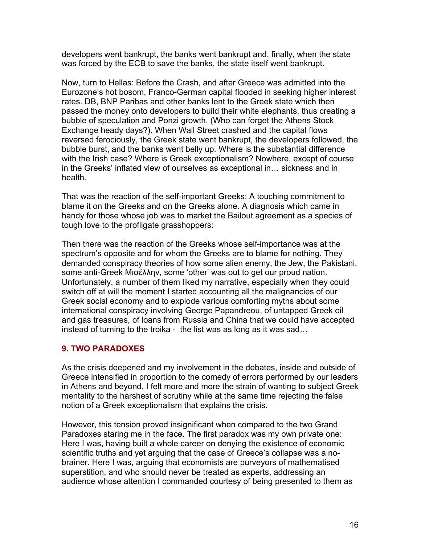developers went bankrupt, the banks went bankrupt and, finally, when the state was forced by the ECB to save the banks, the state itself went bankrupt.

Now, turn to Hellas: Before the Crash, and after Greece was admitted into the Eurozone's hot bosom, Franco-German capital flooded in seeking higher interest rates. DB, BNP Paribas and other banks lent to the Greek state which then passed the money onto developers to build their white elephants, thus creating a bubble of speculation and Ponzi growth. (Who can forget the Athens Stock Exchange heady days?). When Wall Street crashed and the capital flows reversed ferociously, the Greek state went bankrupt, the developers followed, the bubble burst, and the banks went belly up. Where is the substantial difference with the Irish case? Where is Greek exceptionalism? Nowhere, except of course in the Greeks' inflated view of ourselves as exceptional in… sickness and in health.

That was the reaction of the self-important Greeks: A touching commitment to blame it on the Greeks and on the Greeks alone. A diagnosis which came in handy for those whose job was to market the Bailout agreement as a species of tough love to the profligate grasshoppers:

Then there was the reaction of the Greeks whose self-importance was at the spectrum's opposite and for whom the Greeks are to blame for nothing. They demanded conspiracy theories of how some alien enemy, the Jew, the Pakistani, some anti-Greek Μισέλλην, some 'other' was out to get our proud nation. Unfortunately, a number of them liked my narrative, especially when they could switch off at will the moment I started accounting all the malignancies of our Greek social economy and to explode various comforting myths about some international conspiracy involving George Papandreou, of untapped Greek oil and gas treasures, of loans from Russia and China that we could have accepted instead of turning to the troika - the list was as long as it was sad…

## **9. TWO PARADOXES**

As the crisis deepened and my involvement in the debates, inside and outside of Greece intensified in proportion to the comedy of errors performed by our leaders in Athens and beyond, I felt more and more the strain of wanting to subject Greek mentality to the harshest of scrutiny while at the same time rejecting the false notion of a Greek exceptionalism that explains the crisis.

However, this tension proved insignificant when compared to the two Grand Paradoxes staring me in the face. The first paradox was my own private one: Here I was, having built a whole career on denying the existence of economic scientific truths and yet arguing that the case of Greece's collapse was a nobrainer. Here I was, arguing that economists are purveyors of mathematised superstition, and who should never be treated as experts, addressing an audience whose attention I commanded courtesy of being presented to them as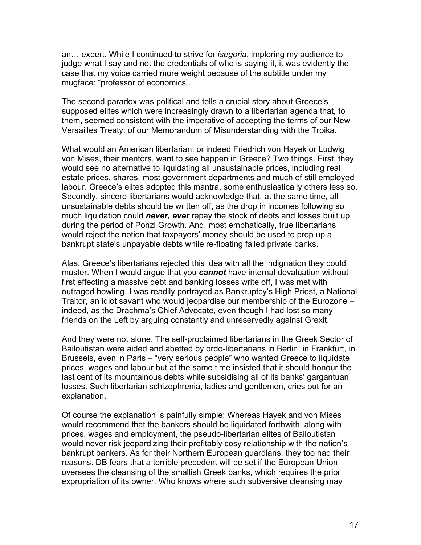an… expert. While I continued to strive for *isegoria*, imploring my audience to judge what I say and not the credentials of who is saying it, it was evidently the case that my voice carried more weight because of the subtitle under my mugface: "professor of economics".

The second paradox was political and tells a crucial story about Greece's supposed elites which were increasingly drawn to a libertarian agenda that, to them, seemed consistent with the imperative of accepting the terms of our New Versailles Treaty: of our Memorandum of Misunderstanding with the Troika.

What would an American libertarian, or indeed Friedrich von Hayek or Ludwig von Mises, their mentors, want to see happen in Greece? Two things. First, they would see no alternative to liquidating all unsustainable prices, including real estate prices, shares, most government departments and much of still employed labour. Greece's elites adopted this mantra, some enthusiastically others less so. Secondly, sincere libertarians would acknowledge that, at the same time, all unsustainable debts should be written off, as the drop in incomes following so much liquidation could *never, ever* repay the stock of debts and losses built up during the period of Ponzi Growth. And, most emphatically, true libertarians would reject the notion that taxpayers' money should be used to prop up a bankrupt state's unpayable debts while re-floating failed private banks.

Alas, Greece's libertarians rejected this idea with all the indignation they could muster. When I would argue that you *cannot* have internal devaluation without first effecting a massive debt and banking losses write off, I was met with outraged howling. I was readily portrayed as Bankruptcy's High Priest, a National Traitor, an idiot savant who would jeopardise our membership of the Eurozone – indeed, as the Drachma's Chief Advocate, even though I had lost so many friends on the Left by arguing constantly and unreservedly against Grexit.

And they were not alone. The self-proclaimed libertarians in the Greek Sector of Bailoutistan were aided and abetted by ordo-libertarians in Berlin, in Frankfurt, in Brussels, even in Paris – "very serious people" who wanted Greece to liquidate prices, wages and labour but at the same time insisted that it should honour the last cent of its mountainous debts while subsidising all of its banks' gargantuan losses. Such libertarian schizophrenia, ladies and gentlemen, cries out for an explanation.

Of course the explanation is painfully simple: Whereas Hayek and von Mises would recommend that the bankers should be liquidated forthwith, along with prices, wages and employment, the pseudo-libertarian elites of Bailoutistan would never risk jeopardizing their profitably cosy relationship with the nation's bankrupt bankers. As for their Northern European guardians, they too had their reasons. DB fears that a terrible precedent will be set if the European Union oversees the cleansing of the smallish Greek banks, which requires the prior expropriation of its owner. Who knows where such subversive cleansing may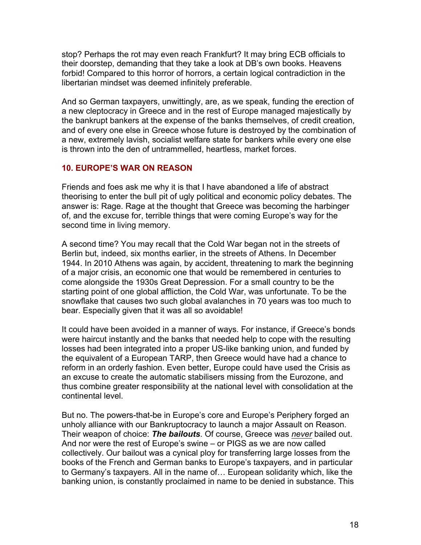stop? Perhaps the rot may even reach Frankfurt? It may bring ECB officials to their doorstep, demanding that they take a look at DB's own books. Heavens forbid! Compared to this horror of horrors, a certain logical contradiction in the libertarian mindset was deemed infinitely preferable.

And so German taxpayers, unwittingly, are, as we speak, funding the erection of a new cleptocracy in Greece and in the rest of Europe managed majestically by the bankrupt bankers at the expense of the banks themselves, of credit creation, and of every one else in Greece whose future is destroyed by the combination of a new, extremely lavish, socialist welfare state for bankers while every one else is thrown into the den of untrammelled, heartless, market forces.

## **10. EUROPE'S WAR ON REASON**

Friends and foes ask me why it is that I have abandoned a life of abstract theorising to enter the bull pit of ugly political and economic policy debates. The answer is: Rage. Rage at the thought that Greece was becoming the harbinger of, and the excuse for, terrible things that were coming Europe's way for the second time in living memory.

A second time? You may recall that the Cold War began not in the streets of Berlin but, indeed, six months earlier, in the streets of Athens. In December 1944. In 2010 Athens was again, by accident, threatening to mark the beginning of a major crisis, an economic one that would be remembered in centuries to come alongside the 1930s Great Depression. For a small country to be the starting point of one global affliction, the Cold War, was unfortunate. To be the snowflake that causes two such global avalanches in 70 years was too much to bear. Especially given that it was all so avoidable!

It could have been avoided in a manner of ways. For instance, if Greece's bonds were haircut instantly and the banks that needed help to cope with the resulting losses had been integrated into a proper US-like banking union, and funded by the equivalent of a European TARP, then Greece would have had a chance to reform in an orderly fashion. Even better, Europe could have used the Crisis as an excuse to create the automatic stabilisers missing from the Eurozone, and thus combine greater responsibility at the national level with consolidation at the continental level.

But no. The powers-that-be in Europe's core and Europe's Periphery forged an unholy alliance with our Bankruptocracy to launch a major Assault on Reason. Their weapon of choice: *The bailouts*. Of course, Greece was *never* bailed out. And nor were the rest of Europe's swine – or PIGS as we are now called collectively. Our bailout was a cynical ploy for transferring large losses from the books of the French and German banks to Europe's taxpayers, and in particular to Germany's taxpayers. All in the name of… European solidarity which, like the banking union, is constantly proclaimed in name to be denied in substance. This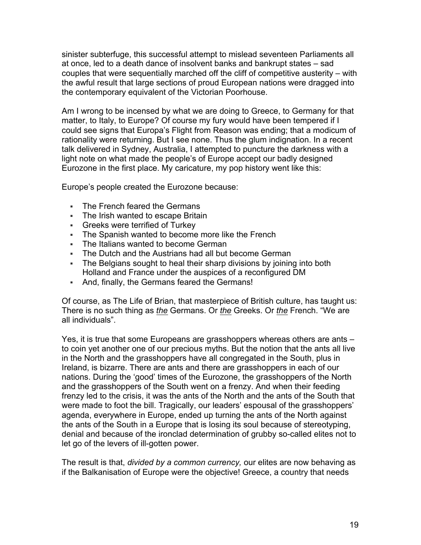sinister subterfuge, this successful attempt to mislead seventeen Parliaments all at once, led to a death dance of insolvent banks and bankrupt states – sad couples that were sequentially marched off the cliff of competitive austerity – with the awful result that large sections of proud European nations were dragged into the contemporary equivalent of the Victorian Poorhouse.

Am I wrong to be incensed by what we are doing to Greece, to Germany for that matter, to Italy, to Europe? Of course my fury would have been tempered if I could see signs that Europa's Flight from Reason was ending; that a modicum of rationality were returning. But I see none. Thus the glum indignation. In a recent talk delivered in Sydney, Australia, I attempted to puncture the darkness with a light note on what made the people's of Europe accept our badly designed Eurozone in the first place. My caricature, my pop history went like this:

Europe's people created the Eurozone because:

- § The French feared the Germans
- The Irish wanted to escape Britain
- Greeks were terrified of Turkey
- The Spanish wanted to become more like the French
- The Italians wanted to become German
- The Dutch and the Austrians had all but become German
- The Belgians sought to heal their sharp divisions by joining into both Holland and France under the auspices of a reconfigured DM
- And, finally, the Germans feared the Germans!

Of course, as The Life of Brian, that masterpiece of British culture, has taught us: There is no such thing as *the* Germans. Or *the* Greeks. Or *the* French. "We are all individuals".

Yes, it is true that some Europeans are grasshoppers whereas others are ants – to coin yet another one of our precious myths. But the notion that the ants all live in the North and the grasshoppers have all congregated in the South, plus in Ireland, is bizarre. There are ants and there are grasshoppers in each of our nations. During the 'good' times of the Eurozone, the grasshoppers of the North and the grasshoppers of the South went on a frenzy. And when their feeding frenzy led to the crisis, it was the ants of the North and the ants of the South that were made to foot the bill. Tragically, our leaders' espousal of the grasshoppers' agenda, everywhere in Europe, ended up turning the ants of the North against the ants of the South in a Europe that is losing its soul because of stereotyping, denial and because of the ironclad determination of grubby so-called elites not to let go of the levers of ill-gotten power.

The result is that, *divided by a common currency,* our elites are now behaving as if the Balkanisation of Europe were the objective! Greece, a country that needs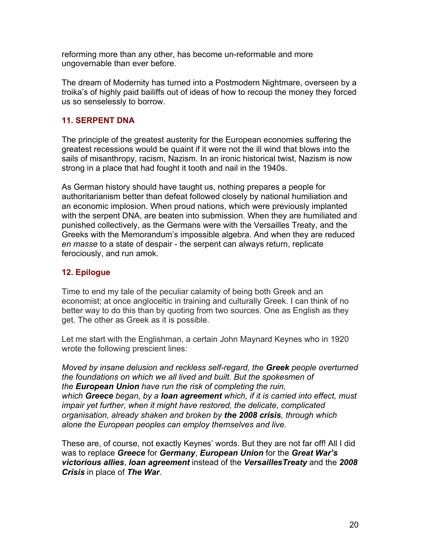reforming more than any other, has become un-reformable and more ungovernable than ever before.

The dream of Modernity has turned into a Postmodern Nightmare, overseen by a troika's of highly paid bailiffs out of ideas of how to recoup the money they forced us so senselessly to borrow.

## **11. SERPENT DNA**

The principle of the greatest austerity for the European economies suffering the greatest recessions would be quaint if it were not the ill wind that blows into the sails of misanthropy, racism, Nazism. In an ironic historical twist, Nazism is now strong in a place that had fought it tooth and nail in the 1940s.

As German history should have taught us, nothing prepares a people for authoritarianism better than defeat followed closely by national humiliation and an economic implosion. When proud nations, which were previously implanted with the serpent DNA, are beaten into submission. When they are humiliated and punished collectively, as the Germans were with the Versailles Treaty, and the Greeks with the Memorandum's impossible algebra. And when they are reduced *en masse* to a state of despair - the serpent can always return, replicate ferociously, and run amok.

## **12. Epilogue**

Time to end my tale of the peculiar calamity of being both Greek and an economist; at once angloceltic in training and culturally Greek. I can think of no better way to do this than by quoting from two sources. One as English as they get. The other as Greek as it is possible.

Let me start with the Englishman, a certain John Maynard Keynes who in 1920 wrote the following prescient lines:

*Moved by insane delusion and reckless self-regard, the Greek people overturned the foundations on which we all lived and built. But the spokesmen of the European Union have run the risk of completing the ruin, which Greece began, by a loan agreement which, if it is carried into effect, must impair yet further, when it might have restored, the delicate, complicated organisation, already shaken and broken by the 2008 crisis, through which alone the European peoples can employ themselves and live.*

These are, of course, not exactly Keynes' words. But they are not far off! All I did was to replace *Greece* for *Germany*, *European Union* for the *Great War's victorious allies*, *loan agreement* instead of the *VersaillesTreaty* and the *2008 Crisis* in place of *The War*.